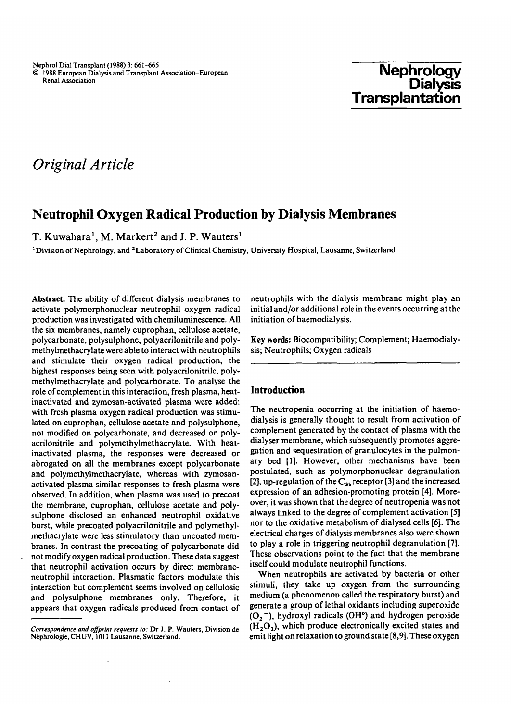# **Nephrology Dialysis Transplantation**

# *Original Article*

# **Neutrophil Oxygen Radical Production by Dialysis Membranes**

T. Kuwahara<sup>1</sup>, M. Markert<sup>2</sup> and J. P. Wauters<sup>1</sup>

'Division of Nephrology, and 2Laboratory of Clinical Chemistry, University Hospital, Lausanne, Switzerland

Abstract. The ability of different dialysis membranes to activate polymorphonuclear neutrophil oxygen radical production was investigated with chemiluminescence. All the six membranes, namely cuprophan, cellulose acetate, polycarbonate, polysulphone, polyacrilonitrile and polymethylmethacrylate were able to interact with neutrophils and stimulate their oxygen radical production, the highest responses being seen with polyacrilonitrile, polymethylmethacrylate and polycarbonate. To analyse the role of complement in this interaction, fresh plasma, heatinactivated and zymosan-activated plasma were added: with fresh plasma oxygen radical production was stimulated on cuprophan, cellulose acetate and polysulphone, not modified on polycarbonate, and decreased on polyacrilonitrile and polymethylmethacrylate. With heatinactivated plasma, the responses were decreased or abrogated on all the membranes except polycarbonate and polymethylmethacrylate, whereas with zymosanactivated plasma similar responses to fresh plasma were observed. In addition, when plasma was used to precoat the membrane, cuprophan, cellulose acetate and polysulphone disclosed an enhanced neutrophil oxidative burst, while precoated polyacrilonitrile and polymethylmethacrylate were less stimulatory than uncoated membranes. In contrast the precoating of polycarbonate did not modify oxygen radical production. These data suggest that neutrophil activation occurs by direct membraneneutrophil interaction. Plasmatic factors modulate this interaction but complement seems involved on cellulosic and polysulphone membranes only. Therefore, it appears that oxygen radicals produced from contact of

neutrophils with the dialysis membrane might play an initial and/or additional role in the events occurring at the initiation of haemodialysis.

Key words: Biocompatibility; Complement; Haemodialysis; Neutrophils; Oxygen radicals

### **Introduction**

The neutropenia occurring at the initiation of haemodialysis is generally thought to result from activation of complement generated by the contact of plasma with the dialyser membrane, which subsequently promotes aggregation and sequestration of granulocytes in the pulmonary bed [1]. However, other mechanisms have been postulated, such as polymorphonuclear degranulation [2], up-regulation of the  $C_{3b}$  receptor [3] and the increased expression of an adhesion-promoting protein [4]. Moreover, it was shown that the degree of neutropenia was not always linked to the degree of complement activation [5] nor to the oxidative metabolism of dialysed cells [6]. The electrical charges of dialysis membranes also were shown to play a role in triggering neutrophil degranulation [7]. These observations point to the fact that the membrane itself could modulate neutrophil functions.

When neutrophils are activated by bacteria or other stimuli, they take up oxygen from the surrounding medium (a phenomenon called the respiratory burst) and generate a group of lethal oxidants including superoxide  $(O_2^-)$ , hydroxyl radicals (OH°) and hydrogen peroxide  $(H<sub>2</sub>O<sub>2</sub>)$ , which produce electronically excited states and emit light on relaxation to ground state [8,9]. These oxygen

*Correspondence and offprint requests to:* **DT J. P. Wauters, Division de Nephrologie, CHUV, 1011 Lausanne, Switzerland.**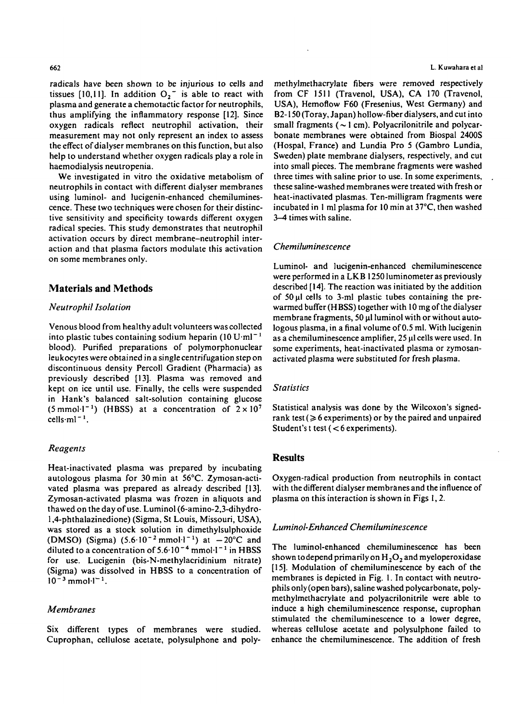radicals have been shown to be injurious to cells and tissues [10,11]. In addition  $O_2^-$  is able to react with plasma and generate a chemotactic factor for neutrophils, thus amplifying the inflammatory response [12]. Since oxygen radicals reflect neutrophil activation, their measurement may not only represent an index to assess the effect of dialyser membranes on this function, but also help to understand whether oxygen radicals play a role in haemodialysis neutropenia.

We investigated in vitro the oxidative metabolism of neutrophils in contact with different dialyser membranes using luminol- and lucigenin-enhanced chemiluminescence. These two techniques were chosen for their distinctive sensitivity and specificity towards different oxygen radical species. This study demonstrates that neutrophil activation occurs by direct membrane-neutrophil interaction and that plasma factors modulate this activation on some membranes only.

### **Materials and Methods**

#### *Neutrophil Isolation*

Venous blood from healthy adult volunteers was collected into plastic tubes containing sodium heparin  $(10 \text{ U} \cdot \text{m})^{-1}$ blood). Purified preparations of polymorphonuclear leukocytes were obtained in a singlecentrifugation step on discontinuous density Percoll Gradient (Pharmacia) as previously described [13]. Plasma was removed and kept on ice until use. Finally, the cells were suspended in Hank's balanced salt-solution containing glucose (5 mmol<sup>-1-1</sup>) (HBSS) at a concentration of  $2 \times 10^7$  $cells·ml<sup>-1</sup>$ .

### *Reagents*

Heat-inactivated plasma was prepared by incubating autologous plasma for 30min at 56°C. Zymosan-activated plasma was prepared as already described [13]. Zymosan-activated plasma was frozen in aliquots and thawed on the day of use. Luminol (6-amino-2,3-dihydro-1,4-phthalazinedione) (Sigma, St Louis, Missouri, USA), was stored as a stock solution in dimethylsulphoxide (DMSO) (Sigma)  $(5.6 \cdot 10^{-2} \text{ mmol·l}^{-1})$  at  $-20^{\circ}$ C and diluted to a concentration of  $5.6 \cdot 10^{-4}$  mmol $\cdot 1^{-1}$  in HBSS for use. Lucigenin (bis-N-methylacridinium nitrate) (Sigma) was dissolved in HBSS to a concentration of  $10^{-3}$  mmol $^{-1}$ 

#### *Membranes*

Six different types of membranes were studied. Cuprophan, cellulose acetate, polysulphone and poly-

**662 L. Kuwahara et al**

methylmethacrylate fibers were removed respectively from CF 1511 (Travenol, USA), CA 170 (Travenol, USA), Hemoflow F60 (Fresenius, West Germany) and B2-150 (Toray, Japan) hollow-fiber dialysers, and cut into small fragments ( $\sim$  1 cm). Polyacrilonitrile and polycarbonate membranes were obtained from Biospal 2400S (Hospal, France) and Lundia Pro 5 (Gambro Lundia, Sweden) plate membrane dialysers, respectively, and cut into small pieces. The membrane fragments were washed three times with saline prior to use. In some experiments, these saline-washed membranes were treated with fresh or heat-inactivated plasmas. Ten-milligram fragments were incubated in 1 ml plasma for 10 min at 37°C, then washed 3-4 times with saline.

#### *Chemiluminescence*

Luminol- and lucigenin-enhanced chemiluminescence were performed in a LKB 1250 luminometer as previously described [14]. The reaction was initiated by the addition of 50 ul cells to 3-ml plastic tubes containing the prewarmed buffer (HBSS) together with 10 mg of the dialyser membrane fragments, 50  $\mu$ l luminol with or without autologous plasma, in a final volume of 0.5 ml. With lucigenin as a chemiluminescence amplifier, 25 ul cells were used. In some experiments, heat-inactivated plasma or zymosanactivated plasma were substituted for fresh plasma.

#### *Statistics*

Statistical analysis was done by the Wilcoxon's signedrank test ( $\geq 6$  experiments) or by the paired and unpaired Student's t test  $(< 6$  experiments).

#### **Results**

Oxygen-radical production from neutrophils in contact with the different dialyser membranes and the influence of plasma on this interaction is shown in Figs 1,2.

#### *Luminol-Enhanced Chemiluminescence*

The luminol-enhanced chemiluminescence has been shown to depend primarily on  $H_2O_2$  and myeloperoxidase [15]. Modulation of chemiluminescence by each of the membranes is depicted in Fig. 1. In contact with neutrophils only (open bars), saline washed polycarbonate, polymethylmethacrylate and polyacrilonitrile were able to induce a high chemiluminescence response, cuprophan stimulated the chemiluminescence to a lower degree, whereas cellulose acetate and polysulphone failed to enhance the chemiluminescence. The addition of fresh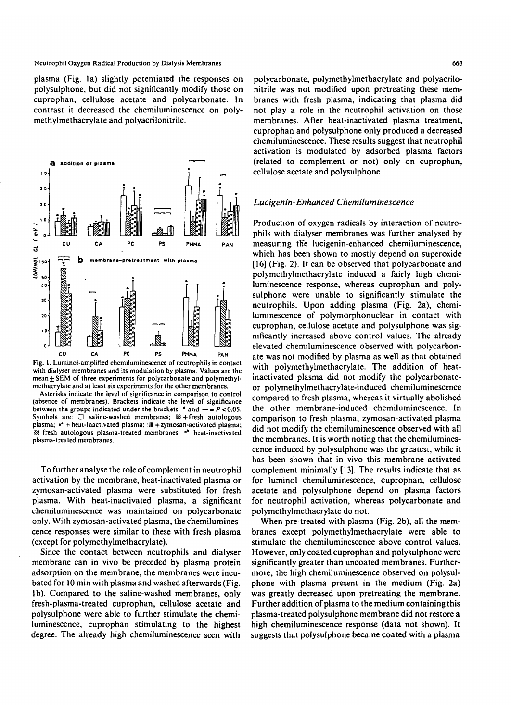#### Neutrophil Oxygen Radical Production by Dialysis Membranes 663

plasma (Fig. la) slightly potentiated the responses on polysulphone, but did not significantly modify those on cuprophan, cellulose acetate and polycarbonate. In contrast it decreased the chemiluminescence on polymethylmethacrylate and polyacrilonitrile.



Fig. 1. Luminol-amplified chemiluminescence of neutrophils in contact with dialyser membranes and its modulation by plasma. Values are the mean  $\pm$  SEM of three experiments for polycarbonate and polymethyl-methacrylate and at least six experiments for the other membranes.

Asterisks indicate the level of significance in comparison to control (absence of membranes). Brackets indicate the level of significance between the groups indicated under the brackets. \* and  $- = P < 0.05$ . Symbols are:  $\Box$  saline-washed membranes;  $\mathcal{L}$  + fresh autologous plasma; •\* + heat-inactivated plasma; III + zymosan-activated plasma;  $\otimes$  fresh autologous plasma-treated membranes, °° heat-inactivated plasma-treated membranes.

To further analyse the role of complement in neutrophil activation by the membrane, heat-inactivated plasma or zymosan-activated plasma were substituted for fresh plasma. With heat-inactivated plasma, a significant chemiluminescence was maintained on polycarbonate only. With zymosan-activated plasma, the chemiluminescence responses were similar to these with fresh plasma (except for polymethylmethacrylate).

Since the contact between neutrophils and dialyser membrane can in vivo be preceded by plasma protein adsorption on the membrane, the membranes were incubated for 10 min with plasma and washed afterwards (Fig. lb). Compared to the saline-washed membranes, only fresh-plasma-treated cuprophan, cellulose acetate and polysulphone were able to further stimulate the chemiluminescence, cuprophan stimulating to the highest degree. The already high chemiluminescence seen with

polycarbonate, polymethylmethacrylate and polyacrilonitrile was not modified upon pretreating these membranes with fresh plasma, indicating that plasma did not play a role in the neutrophil activation on those membranes. After heat-inactivated plasma treatment, cuprophan and polysulphone only produced a decreased chemiluminescence. These results suggest that neutrophil activation is modulated by adsorbed plasma factors (related to complement or not) only on cuprophan, cellulose acetate and polysulphone.

#### *Lucigenin-Enhanced Chemiluminescence*

Production of oxygen radicals by interaction of neutrophils with dialyser membranes was further analysed by measuring the lucigenin-enhanced chemiluminescence, which has been shown to mostly depend on superoxide [16] (Fig. 2). It can be observed that polycarbonate and polymethylmethacrylate induced a fairly high chemiluminescence response, whereas cuprophan and polysulphone were unable to significantly stimulate the neutrophils. Upon adding plasma (Fig. 2a), chemiluminescence of polymorphonuclear in contact with cuprophan, cellulose acetate and polysulphone was significantly increased above control values. The already elevated chemiluminescence observed with polycarbonate was not modified by plasma as well as that obtained with polymethylmethacrylate. The addition of heatinactivated plasma did not modify the polycarbonateor polymethylmethacrylate-induced chemiluminescence compared to fresh plasma, whereas it virtually abolished the other membrane-induced chemiluminescence. In comparison to fresh plasma, zymosan-activated plasma did not modify the chemiluminescence observed with all the membranes. It is worth noting that the chemiluminescence induced by polysulphone was the greatest, while it has been shown that in vivo this membrane activated complement minimally [13]. The results indicate that as for luminol chemiluminescence, cuprophan, cellulose acetate and polysulphone depend on plasma factors for neutrophil activation, whereas polycarbonate and polymethylmethacrylate do not.

When pre-treated with plasma (Fig. 2b), all the membranes except polymethylmethacrylate were able to stimulate the chemiluminescence above control values. However, only coated cuprophan and polysulphone were significantly greater than uncoated membranes. Furthermore, the high chemiluminescence observed on polysulphone with plasma present in the medium (Fig. 2a) was greatly decreased upon pretreating the membrane. Further addition of plasma to the medium containing this plasma-treated polysulphone membrane did not restore a high chemiluminescence response (data not shown). It suggests that polysulphone became coated with a plasma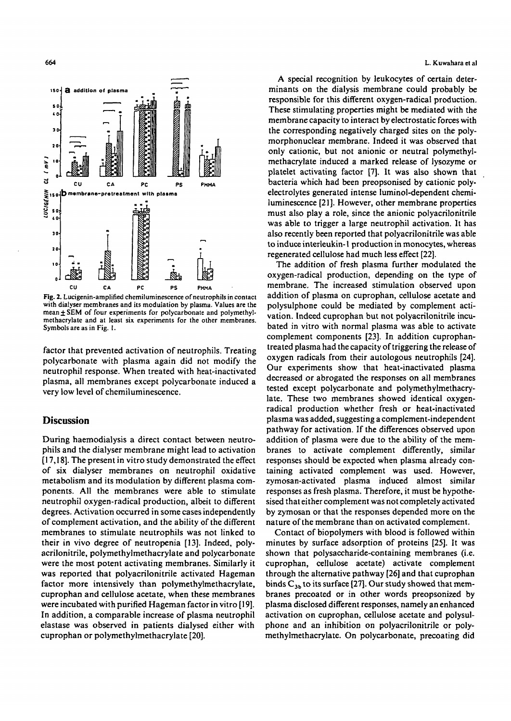



**Fig. 2. Lucigenin-amplified chemiluminescence of neutrophils in contact with dialyser membranes and its modulation by plasma. Values are the mean±SEM of four experiments for polycarbonate and polymethylmethacrylate and at least six experiments for the other membranes. Symbols are as in Fig. 1.**

factor that prevented activation of neutrophils. Treating polycarbonate with plasma again did not modify the neutrophil response. When treated with heat-inactivated plasma, all membranes except polycarbonate induced a very low level of chemiluminescence.

## **Discussion**

During haemodialysis a direct contact between neutrophils and the dialyser membrane might lead to activation [17,18]. The present in vitro study demonstrated the effect of six dialyser membranes on neutrophil oxidative metabolism and its modulation by different plasma components. All the membranes were able to stimulate neutrophil oxygen-radical production, albeit to different degrees. Activation occurred in some cases independently of complement activation, and the ability of the different membranes to stimulate neutrophils was not linked to their in vivo degree of neutropenia [13]. Indeed, polyacrilonitrile, polymethylmethacrylate and polycarbonate were the most potent activating membranes. Similarly it was reported that polyacrilonitrile activated Hageman factor more intensively than polymethylmethacrylate, cuprophan and cellulose acetate, when these membranes were incubated with purified Hageman factor in vitro [19]. In addition, a comparable increase of plasma neutrophil elastase was observed in patients dialysed either with cuprophan or polymethylmethacrylate [20].

#### 664 **L. Kuwahara et al**

A special recognition by leukocytes of certain determinants on the dialysis membrane could probably be responsible for this different oxygen-radical production. These stimulating properties might be mediated with the membrane capacity to interact by electrostatic forces with the corresponding negatively charged sites on the polymorphonuclear membrane. Indeed it was observed that only cationic, but not anionic or neutral polymethylmethacrylate induced a marked release of lysozyme or platelet activating factor [7]. It was also shown that bacteria which had been preopsonised by cationic polyelectrolytes generated intense luminol-dependent chemiluminescence [21]. However, other membrane properties must also play a role, since the anionic polyacrilonitrile was able to trigger a large neutrophil activation. It has also recently been reported that polyacrilonitrile was able to induce interleukin-1 production in monocytes, whereas regenerated cellulose had much less effect [22].

The addition of fresh plasma further modulated the oxygen-radical production, depending on the type of membrane. The increased stimulation observed upon addition of plasma on cuprophan, cellulose acetate and polysulphone could be mediated by complement activation. Indeed cuprophan but not polyacrilonitrile incubated in vitro with normal plasma was able to activate complement components [23]. In addition cuprophantreated plasma had the capacity of triggering the release of oxygen radicals from their autologous neutrophils [24]. Our experiments show that heat-inactivated plasma decreased or abrogated the responses on all membranes tested except polycarbonate and polymethylmethacrylate. These two membranes showed identical oxygenradical production whether fresh or heat-inactivated plasma was added, suggesting a complement-independent pathway for activation. If the differences observed upon addition of plasma were due to the ability of the membranes to activate complement differently, similar responses should be expected when plasma already containing activated complement was used. However, zymosan-activated plasma induced almost similar responses as fresh plasma. Therefore, it must be hypothesised that either complement was not completely activated by zymosan or that the responses depended more on the nature of the membrane than on activated complement.

Contact of biopolymers with blood is followed within minutes by surface adsorption of proteins [25]. It was shown that polysaccharide-containing membranes (i.e. cuprophan, cellulose acetate) activate complement through the alternative pathway [26] and that cuprophan binds  $C_{3b}$  to its surface [27]. Our study showed that membranes precoated or in other words preopsonized by plasma disclosed different responses, namely an enhanced activation on cuprophan, cellulose acetate and polysulphone and an inhibition on polyacrilonitrile or polymethylmethacrylate. On polycarbonate, precoating did